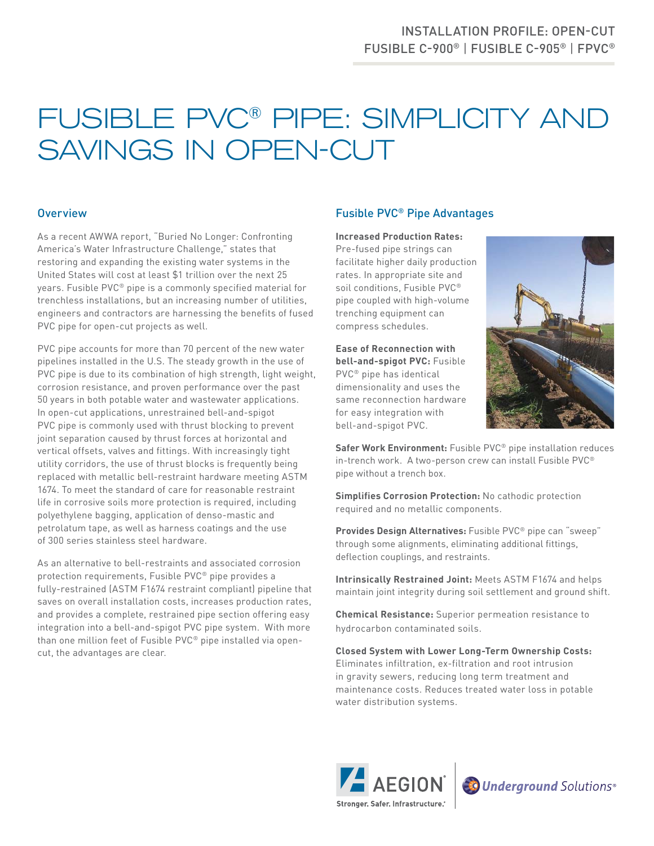# FUSIBLE PVC® PIPE: SIMPLICITY AND SAVINGS IN OPEN-CUT

### **Overview**

As a recent AWWA report, "Buried No Longer: Confronting America's Water Infrastructure Challenge," states that restoring and expanding the existing water systems in the United States will cost at least \$1 trillion over the next 25 years. Fusible PVC® pipe is a commonly specified material for trenchless installations, but an increasing number of utilities, engineers and contractors are harnessing the benefits of fused PVC pipe for open-cut projects as well.

PVC pipe accounts for more than 70 percent of the new water pipelines installed in the U.S. The steady growth in the use of PVC pipe is due to its combination of high strength, light weight, corrosion resistance, and proven performance over the past 50 years in both potable water and wastewater applications. In open-cut applications, unrestrained bell-and-spigot PVC pipe is commonly used with thrust blocking to prevent joint separation caused by thrust forces at horizontal and vertical offsets, valves and fittings. With increasingly tight utility corridors, the use of thrust blocks is frequently being replaced with metallic bell-restraint hardware meeting ASTM 1674. To meet the standard of care for reasonable restraint life in corrosive soils more protection is required, including polyethylene bagging, application of denso-mastic and petrolatum tape, as well as harness coatings and the use of 300 series stainless steel hardware.

As an alternative to bell-restraints and associated corrosion protection requirements, Fusible PVC® pipe provides a fully-restrained (ASTM F1674 restraint compliant) pipeline that saves on overall installation costs, increases production rates, and provides a complete, restrained pipe section offering easy integration into a bell-and-spigot PVC pipe system. With more than one million feet of Fusible PVC® pipe installed via opencut, the advantages are clear.

## Fusible PVC® Pipe Advantages

#### **Increased Production Rates:**

Pre-fused pipe strings can facilitate higher daily production rates. In appropriate site and soil conditions, Fusible PVC® pipe coupled with high-volume trenching equipment can compress schedules.

**Ease of Reconnection with bell-and-spigot PVC:** Fusible PVC® pipe has identical dimensionality and uses the same reconnection hardware for easy integration with bell-and-spigot PVC.



**Safer Work Environment:** Fusible PVC® pipe installation reduces in-trench work. A two-person crew can install Fusible PVC® pipe without a trench box.

**Simplifies Corrosion Protection:** No cathodic protection required and no metallic components.

**Provides Design Alternatives:** Fusible PVC® pipe can "sweep" through some alignments, eliminating additional fittings, deflection couplings, and restraints.

**Intrinsically Restrained Joint:** Meets ASTM F1674 and helps maintain joint integrity during soil settlement and ground shift.

**Chemical Resistance:** Superior permeation resistance to hydrocarbon contaminated soils.

**Closed System with Lower Long-Term Ownership Costs:**  Eliminates infiltration, ex-filtration and root intrusion in gravity sewers, reducing long term treatment and maintenance costs. Reduces treated water loss in potable water distribution systems.



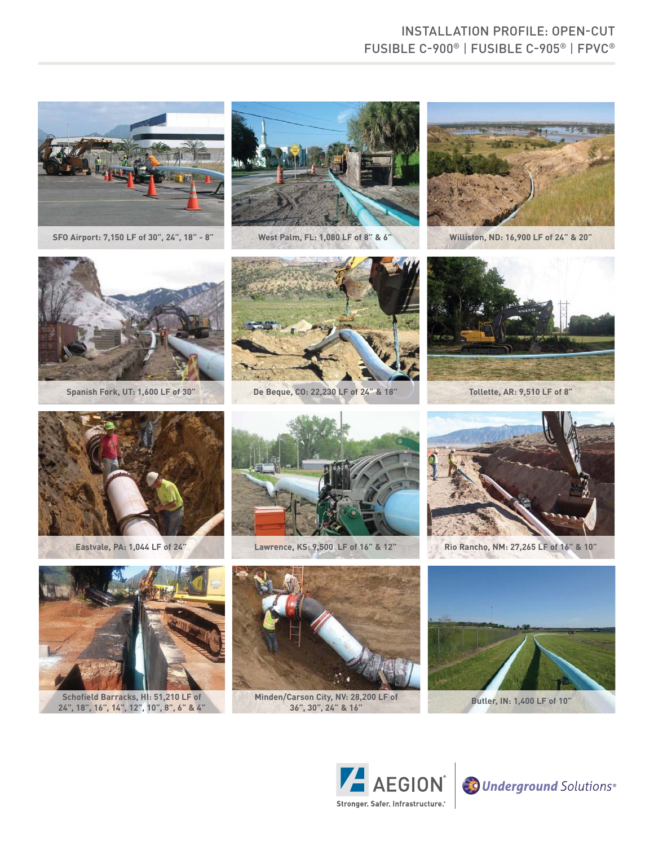## INSTALLATION PROFILE: OPEN-CUT FUSIBLE C-900® | FUSIBLE C-905® | FPVC®







**Spanish Fork, UT: 1,600 LF of 30" De Beque, CO: 22,230 LF of 24" & 18" Tollette, AR: 9,510 LF of 8"** 









**Schofield Barracks, HI: 51,210 LF of 24", 18", 16", 14", 12", 10", 8", 6" & 4"**



**Minden/Carson City, NV: 28,200 LF of** 



**Eastvale, PA: 1,044 LF of 24" Lawrence, KS: 9,500 LF of 16" & 12" Rio Rancho, NM: 27,265 LF of 16" & 10"**



**36", 30", 24" & 16" Butler, IN: 1,400 LF of 10"**